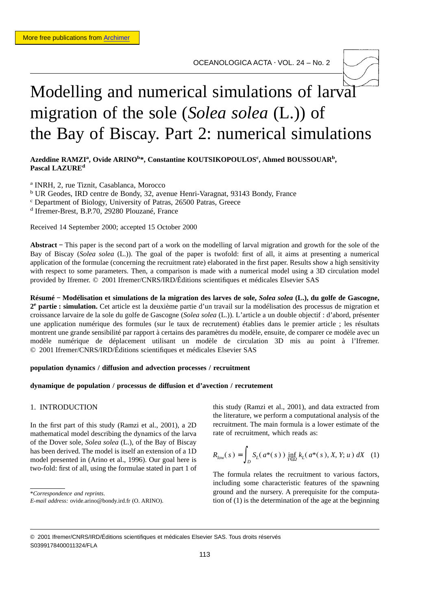# Modelling and numerical simulations of larval migration of the sole (*Solea solea* (L.)) of the Bay of Biscay. Part 2: numerical simulations

# Azeddine RAMZI<sup>a</sup>, Ovide ARINO<sup>b\*</sup>, Constantine KOUTSIKOPOULOS<sup>c</sup>, Ahmed BOUSSOUAR<sup>b</sup>, **Pascal LAZUREd**

<sup>a</sup> INRH, 2, rue Tiznit, Casablanca, Morocco <sup>b</sup> UR Geodes, IRD centre de Bondy, 32, avenue Henri-Varagnat, 93143 Bondy, France <sup>c</sup> Department of Biology, University of Patras, 26500 Patras, Greece <sup>d</sup> Ifremer-Brest, B.P.70, 29280 Plouzané, France

Received 14 September 2000; accepted 15 October 2000

**Abstract −** This paper is the second part of a work on the modelling of larval migration and growth for the sole of the Bay of Biscay (*Solea solea* (L.)). The goal of the paper is twofold: first of all, it aims at presenting a numerical application of the formulae (concerning the recruitment rate) elaborated in the first paper. Results show a high sensitivity with respect to some parameters. Then, a comparison is made with a numerical model using a 3D circulation model provided by Ifremer. © 2001 Ifremer/CNRS/IRD/Éditions scientifiques et médicales Elsevier SAS

**Résumé − Modélisation et simulations de la migration des larves de sole,** *Solea solea* **(L.), du golfe de Gascogne, 2e partie : simulation.** Cet article est la deuxième partie d'un travail sur la modélisation des processus de migration et croissance larvaire de la sole du golfe de Gascogne (*Solea solea* (L.)). L'article a un double objectif : d'abord, présenter une application numérique des formules (sur le taux de recrutement) établies dans le premier article ; les résultats montrent une grande sensibilité par rapport à certains des paramètres du modèle, ensuite, de comparer ce modèle avec un modèle numérique de déplacement utilisant un modèle de circulation 3D mis au point à l'Ifremer. © 2001 Ifremer/CNRS/IRD/Éditions scientifiques et médicales Elsevier SAS

#### **population dynamics / diffusion and advection processes / recruitment**

#### **dynamique de population / processus de diffusion et d'avection / recrutement**

# 1. INTRODUCTION

In the first part of this study (Ramzi et al., 2001), a 2D mathematical model describing the dynamics of the larva of the Dover sole, *Solea solea* (L.), of the Bay of Biscay has been derived. The model is itself an extension of a 1D model presented in (Arino et al., 1996). Our goal here is two-fold: first of all, using the formulae stated in part 1 of

\**Correspondence and reprints*.

this study (Ramzi et al., 2001), and data extracted from the literature, we perform a computational analysis of the recruitment. The main formula is a lower estimate of the rate of recruitment, which reads as:

$$
R_{low}(s) = \int_{D} S_{L}(a^{*}(s)) \inf_{Y \in \Omega} k_{L}(a^{*}(s), X, Y; u) dX
$$
 (1)

The formula relates the recruitment to various factors, including some characteristic features of the spawning ground and the nursery. A prerequisite for the computation of (1) is the determination of the age at the beginning

*E-mail address:* ovide.arino@bondy.ird.fr (O. ARINO).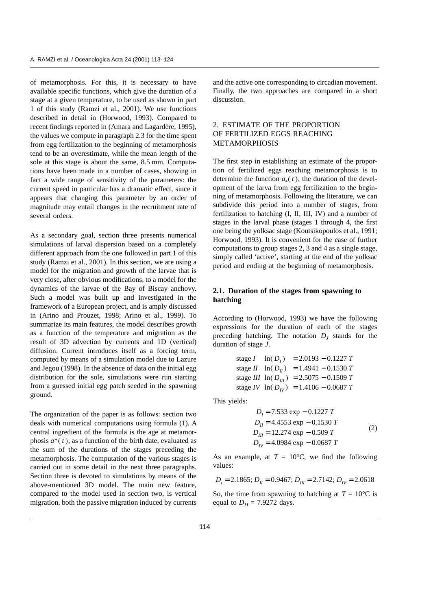of metamorphosis. For this, it is necessary to have available specific functions, which give the duration of a stage at a given temperature, to be used as shown in part 1 of this study (Ramzi et al., 2001). We use functions described in detail in (Horwood, 1993). Compared to recent findings reported in (Amara and Lagardère, 1995), the values we compute in paragraph 2.3 for the time spent from egg fertilization to the beginning of metamorphosis tend to be an overestimate, while the mean length of the sole at this stage is about the same, 8.5 mm. Computations have been made in a number of cases, showing in fact a wide range of sensitivity of the parameters: the current speed in particular has a dramatic effect, since it appears that changing this parameter by an order of magnitude may entail changes in the recruitment rate of several orders.

As a secondary goal, section three presents numerical simulations of larval dispersion based on a completely different approach from the one followed in part 1 of this study (Ramzi et al., 2001). In this section, we are using a model for the migration and growth of the larvae that is very close, after obvious modifications, to a model for the dynamics of the larvae of the Bay of Biscay anchovy. Such a model was built up and investigated in the framework of a European project, and is amply discussed in (Arino and Prouzet, 1998; Arino et al., 1999). To summarize its main features, the model describes growth as a function of the temperature and migration as the result of 3D advection by currents and 1D (vertical) diffusion. Current introduces itself as a forcing term, computed by means of a simulation model due to Lazure and Jegou (1998). In the absence of data on the initial egg distribution for the sole, simulations were run starting from a guessed initial egg patch seeded in the spawning ground.

The organization of the paper is as follows: section two deals with numerical computations using formula (1). A central ingredient of the formula is the age at metamorphosis  $a^*(t)$ , as a function of the birth date, evaluated as the sum of the durations of the stages preceding the metamorphosis. The computation of the various stages is carried out in some detail in the next three paragraphs. Section three is devoted to simulations by means of the above-mentioned 3D model. The main new feature, compared to the model used in section two, is vertical migration, both the passive migration induced by currents and the active one corresponding to circadian movement. Finally, the two approaches are compared in a short discussion.

# 2. ESTIMATE OF THE PROPORTION OF FERTILIZED EGGS REACHING METAMORPHOSIS

The first step in establishing an estimate of the proportion of fertilized eggs reaching metamorphosis is to determine the function  $a_*(t)$ , the duration of the development of the larva from egg fertilization to the beginning of metamorphosis. Following the literature, we can subdivide this period into a number of stages, from fertilization to hatching (I, II, III, IV) and a number of stages in the larval phase (stages 1 through 4, the first one being the yolksac stage (Koutsikopoulos et al., 1991; Horwood, 1993). It is convenient for the ease of further computations to group stages 2, 3 and 4 as a single stage, simply called 'active', starting at the end of the yolksac period and ending at the beginning of metamorphosis.

# **2.1. Duration of the stages from spawning to hatching**

According to (Horwood, 1993) we have the following expressions for the duration of each of the stages preceding hatching. The notation  $D_j$  stands for the duration of stage *J*.

stage *I* 
$$
\ln(D_I) = 2.0193 - 0.1227 T
$$
  
stage *II*  $\ln(D_H) = 1.4941 - 0.1530 T$   
stage *III*  $\ln(D_{II}) = 2.5075 - 0.1509 T$   
stage *IV*  $\ln(D_{IV}) = 1.4106 - 0.0687 T$ 

This yields:

$$
D_{I} = 7.533 \exp -0.1227 T
$$
  
\n
$$
D_{II} = 4.4553 \exp -0.1530 T
$$
  
\n
$$
D_{III} = 12.274 \exp -0.509 T
$$
  
\n
$$
D_{IV} = 4.0984 \exp -0.0687 T
$$
 (2)

As an example, at  $T = 10^{\circ}$ C, we find the following values:

$$
D_t = 2.1865
$$
;  $D_H = 0.9467$ ;  $D_{III} = 2.7142$ ;  $D_{IV} = 2.0618$ 

So, the time from spawning to hatching at  $T = 10^{\circ}$ C is equal to  $D_H = 7.9272$  days.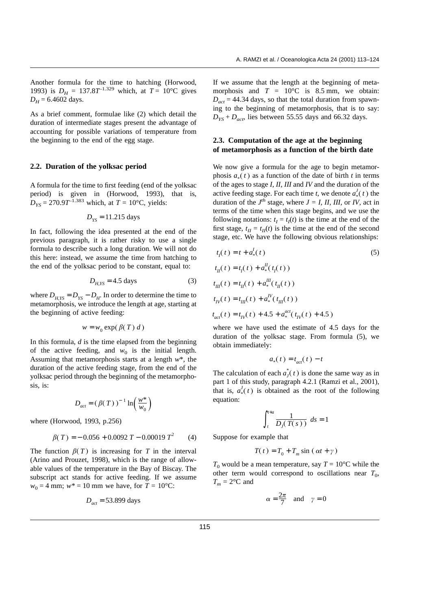Another formula for the time to hatching (Horwood, 1993) is  $D_H = 137.8T^{-1.329}$  which, at  $T = 10^{\circ}\text{C}$  gives  $D_H$  = 6.4602 days.

As a brief comment, formulae like (2) which detail the duration of intermediate stages present the advantage of accounting for possible variations of temperature from the beginning to the end of the egg stage.

#### **2.2. Duration of the yolksac period**

A formula for the time to first feeding (end of the yolksac period) is given in (Horwood, 1993), that is,  $D_{YS} = 270.9T^{-1.383}$  which, at  $T = 10^{\circ}$ C, yields:

$$
D_{\rm YS} = 11.215 \text{ days}
$$

In fact, following the idea presented at the end of the previous paragraph, it is rather risky to use a single formula to describe such a long duration. We will not do this here: instead, we assume the time from hatching to the end of the yolksac period to be constant, equal to:

$$
D_{H,YS} = 4.5 \text{ days} \tag{3}
$$

where  $D_{H,YS} = D_{YS} - D_{H}$ . In order to determine the time to metamorphosis, we introduce the length at age, starting at the beginning of active feeding:

$$
w = w_0 \exp(\beta(T) d)
$$

In this formula, *d* is the time elapsed from the beginning of the active feeding, and  $w_0$  is the initial length. Assuming that metamorphosis starts at a length *w*\*, the duration of the active feeding stage, from the end of the yolksac period through the beginning of the metamorphosis, is:

$$
D_{act} = (\beta(T))^{-1} \ln\left(\frac{w^*}{w_0}\right)
$$

where (Horwood, 1993, p.256)

$$
\beta(T) = -0.056 + 0.0092 T - 0.00019 T^2 \tag{4}
$$

The function  $\beta(T)$  is increasing for *T* in the interval (Arino and Prouzet, 1998), which is the range of allowable values of the temperature in the Bay of Biscay. The subscript act stands for active feeding. If we assume  $w_0 = 4$  mm;  $w^* = 10$  mm we have, for  $T = 10^{\circ}$ C:

$$
D_{act} = 53.899 \text{ days}
$$

If we assume that the length at the beginning of metamorphosis and  $T = 10^{\circ}\text{C}$  is 8.5 mm, we obtain:  $D_{act}$  = 44.34 days, so that the total duration from spawning to the beginning of metamorphosis, that is to say:  $D_{YS} + D_{act}$ , lies between 55.55 days and 66.32 days.

## **2.3. Computation of the age at the beginning of metamorphosis as a function of the birth date**

We now give a formula for the age to begin metamorphosis  $a_*(t)$  as a function of the date of birth  $t$  in terms of the ages to stage *I*, *II*, *III* and *IV* and the duration of the active feeding stage. For each time *t*, we denote  $a_*^J(t)$  the duration of the  $J<sup>th</sup>$  stage, where  $J = I$ , *II, III*, or *IV*, act in terms of the time when this stage begins, and we use the following notations:  $t_I = t_I(t)$  is the time at the end of the first stage,  $t_{II} = t_{II}(t)$  is the time at the end of the second stage, etc. We have the following obvious relationships:

$$
t_1(t) = t + a_*^l(t)
$$
\n(5)  
\n
$$
t_{II}(t) = t_1(t) + a_*^{II}(t_1(t))
$$
\n
$$
t_{III}(t) = t_{II}(t) + a_*^{III}(t_{II}(t))
$$
\n
$$
t_{IV}(t) = t_{III}(t) + a_*^{IV}(t_{III}(t))
$$
\n
$$
t_{act}(t) = t_{IV}(t) + 4.5 + a_*^{act}(t_{IV}(t) + 4.5)
$$

where we have used the estimate of 4.5 days for the duration of the yolksac stage. From formula (5), we obtain immediately:

$$
a_*(t) = t_{act}(t) - t
$$

The calculation of each  $a_j^*(t)$  is done the same way as in part 1 of this study, paragraph 4.2.1 (Ramzi et al., 2001), that is,  $a^J_*(t)$  is obtained as the root of the following equation:

$$
\int_{t}^{t+a} \frac{1}{D_{J}(T(s))} \ ds = 1
$$

Suppose for example that

$$
T(t) = T_0 + T_m \sin(\alpha t + \gamma)
$$

 $T_0$  would be a mean temperature, say  $T = 10^{\circ}$ C while the other term would correspond to oscillations near  $T_0$ ,  $T_m = 2$ <sup>o</sup>C and

$$
\alpha = \frac{2\pi}{7} \quad \text{and} \quad \gamma = 0
$$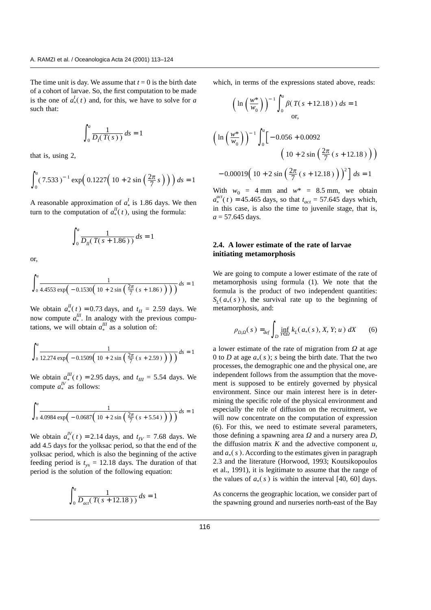The time unit is day. We assume that  $t = 0$  is the birth date of a cohort of larvae. So, the first computation to be made is the one of  $a^I_*(t)$  and, for this, we have to solve for *a* such that:

$$
\int_0^a \frac{1}{D_I(T(s))} \, ds = 1
$$

that is, using 2,

$$
\int_0^a (7.533)^{-1} \exp\left(0.1227\left(10 + 2\sin\left(\frac{2\pi}{7} s\right)\right)\right) ds = 1
$$

A reasonable approximation of  $a^I_*$  is 1.86 days. We then turn to the computation of  $a_*^I(t)$ , using the formula:

$$
\int_0^a \frac{1}{D_n(T(s+1.86))} \, ds = 1
$$

or,

$$
\int_0^a \frac{1}{4.4553 \exp(-0.1530(10+2\sin(\frac{2\pi}{7}(s+1.86))))} ds = 1
$$

We obtain  $a_*^H(t) = 0.73$  days, and  $t_H = 2.59$  days. We now compute  $a_*^{\text{III}}$ . In analogy with the previous computations, we will obtain  $a_*^{\text{III}}$  as a solution of:

$$
\int_0^a \frac{1}{12.274 \exp\left(-0.1509\left(10 + 2\sin\left(\frac{2\pi}{7}\left(s + 2.59\right)\right)\right)\right)} ds = 1
$$

We obtain  $a_{\mu}^{III}(t) = 2.95$  days, and  $t_{III} = 5.54$  days. We compute  $a_*^{IV}$  as follows:

$$
\int_0^a \frac{1}{4.0984 \exp(-0.0687 \left(10 + 2 \sin \left(\frac{2\pi}{7} (s + 5.54) \right)\right))} ds = 1
$$

We obtain  $a_*^{IV}(t) = 2.14$  days, and  $t_{IV} = 7.68$  days. We add 4.5 days for the yolksac period, so that the end of the yolksac period, which is also the beginning of the active feeding period is  $t_{vs} = 12.18$  days. The duration of that period is the solution of the following equation:

$$
\int_0^a \frac{1}{D_{act}(T(s + 12.18))} ds = 1
$$

which, in terms of the expressions stated above, reads:

$$
\left(\ln\left(\frac{w^*}{w_0}\right)\right)^{-1}\int_0^a \beta(T(s+12.18))\ ds = 1
$$
 or,

$$
\left(\ln\left(\frac{w^*}{w_0}\right)\right)^{-1} \int_0^a \left[-0.056 + 0.0092\right] \left(10 + 2\sin\left(\frac{2\pi}{7}\left(s + 12.18\right)\right)\right) \left(10 + 2\sin\left(\frac{2\pi}{7}\left(s + 12.18\right)\right)\right)^2\right] ds = 1
$$

With  $w_0 = 4$  mm and  $w^* = 8.5$  mm, we obtain  $a_*^{act}(t) = 45.465$  days, so that  $t_{act} = 57.645$  days which, in this case, is also the time to juvenile stage, that is,  $a = 57.645$  days.

# **2.4. A lower estimate of the rate of larvae initiating metamorphosis**

We are going to compute a lower estimate of the rate of metamorphosis using formula (1). We note that the formula is the product of two independent quantities:  $S_L(a_*(s))$ , the survival rate up to the beginning of metamorphosis, and:

$$
\rho_{D,\Omega}(s) =_{def} \int_{D} \inf_{Y \in \Omega} k_L(a_*(s), X, Y; u) \, dX \qquad (6)
$$

a lower estimate of the rate of migration from  $\Omega$  at age 0 to *D* at age  $a_*(s)$ ; *s* being the birth date. That the two processes, the demographic one and the physical one, are independent follows from the assumption that the movement is supposed to be entirely governed by physical environment. Since our main interest here is in determining the specific role of the physical environment and especially the role of diffusion on the recruitment, we will now concentrate on the computation of expression (6). For this, we need to estimate several parameters, those defining a spawning area  $\Omega$  and a nursery area  $D$ , the diffusion matrix  $K$  and the advective component  $u$ , and  $a_*(s)$ . According to the estimates given in paragraph 2.3 and the literature (Horwood, 1993; Koutsikopoulos et al., 1991), it is legitimate to assume that the range of the values of  $a_*(s)$  is within the interval [40, 60] days.

As concerns the geographic location, we consider part of the spawning ground and nurseries north-east of the Bay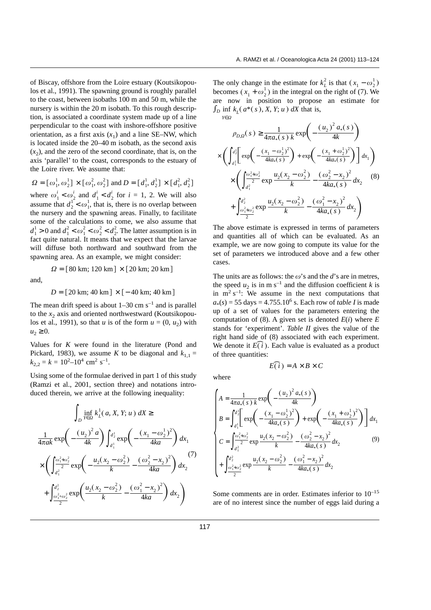of Biscay, offshore from the Loire estuary (Koutsikopoulos et al., 1991). The spawning ground is roughly parallel to the coast, between isobaths 100 m and 50 m, while the nursery is within the 20 m isobath. To this rough description, is associated a coordinate system made up of a line perpendicular to the coast with inshore-offshore positive orientation, as a first axis  $(x_1)$  and a line SE–NW, which is located inside the 20–40 m isobath, as the second axis  $(x<sub>2</sub>)$ , and the zero of the second coordinate, that is, on the axis 'parallel' to the coast, corresponds to the estuary of the Loire river. We assume that:

$$
\Omega = [\omega_1^1, \omega_2^1] \times [\omega_1^2, \omega_2^2] \text{ and } D = [d_1^1, d_2^1] \times [d_1^2, d_2^2]
$$

where  $\omega_1^i < \omega_2^i$  and  $d_1^i < d_2^i$  for  $i = 1, 2$ . We will also assume that  $d_2^1 < \omega_1^1$ , that is, there is no overlap between the nursery and the spawning areas. Finally, to facilitate some of the calculations to come, we also assume that  $d_1^1 > 0$  and  $d_1^2 < \omega_1^2 < \omega_2^2 < d_2^2$ . The latter assumption is in fact quite natural. It means that we expect that the larvae will diffuse both northward and southward from the spawning area. As an example, we might consider:

$$
\Omega = [80 \text{ km}; 120 \text{ km}] \times [20 \text{ km}; 20 \text{ km}]
$$

and,

$$
D = [20 \text{ km}; 40 \text{ km}] \times [-40 \text{ km}; 40 \text{ km}]
$$

The mean drift speed is about  $1-30$  cm s<sup>-1</sup> and is parallel to the  $x_2$  axis and oriented northwestward (Koutsikopoulos et al., 1991), so that *u* is of the form  $u = (0, u_2)$  with  $u_2 \geq 0$ .

Values for *K* were found in the literature (Pond and Pickard, 1983), we assume *K* to be diagonal and  $k_{1,1} =$  $k_{2,2} = k = 10^{2} - 10^{4}$  cm<sup>2</sup> s<sup>-1</sup>.

Using some of the formulae derived in part 1 of this study (Ramzi et al., 2001, section three) and notations introduced therein, we arrive at the following inequality:

$$
\int_{D} \inf_{Y \in \Omega} k_{L}^{1}(a, X, Y; u) dX \ge
$$
\n
$$
\frac{1}{4\pi a k} \exp\left(-\frac{(u_{2})^{2} a}{4k}\right) \int_{a_{1}^{1}}^{a_{2}^{1}} \exp\left(-\frac{(x_{1} - \omega_{2}^{1})^{2}}{4ka}\right) dx_{1}
$$
\n
$$
\times \left(\int_{a_{1}^{2}}^{\frac{\omega_{1}^{2} + \omega_{2}^{2}}{2}} \exp\left(-\frac{u_{2}(x_{2} - \omega_{2}^{2})}{k} - \frac{(\omega_{2}^{2} - x_{2})^{2}}{4ka}\right) dx_{2}
$$
\n
$$
+ \int_{\frac{\omega_{1}^{2} + \omega_{2}^{2}}{2}}^{\frac{\omega_{2}^{2} + \omega_{2}^{2}}{2}} \exp\left(\frac{u_{2}(x_{2} - \omega_{2}^{2})}{k} - \frac{(\omega_{1}^{2} - x_{2})^{2}}{4ka}\right) dx_{2}
$$

The only change in the estimate for  $k_L^2$  is that  $(x_1 - \omega_2^1)$ becomes  $(x_1 + \omega_2^1)$  in the integral on the right of (7). We are now in position to propose an estimate for  $\int_D \inf k_L(a^*(s), X, Y; u) dX$  that is, *Y*∈*X*

$$
y_{\epsilon\Omega} \times \left(\int_{a_1^1}^{a_2^1} \exp\left(-\frac{(u_2)^2 a_*(s)}{4k}\right) \times \left(\int_{a_1^1}^{a_2^1} \exp\left(-\frac{(x_1 - \omega_2^1)^2}{4ka_*(s)}\right) + \exp\left(-\frac{(x_1 + \omega_2^1)^2}{4ka_*(s)}\right) \right] dx_1 \right) \times \left(\int_{a_1^2}^{\frac{\omega_1^2 + \omega_2^2}{2}} \exp\frac{u_2(x_2 - \omega_2^2)}{k} - \frac{(\omega_2^2 - x_2)^2}{4ka_*(s)} dx_2 \right)
$$
\n
$$
+ \int_{\frac{\omega_1^2 + \omega_2^2}{2}}^{\frac{\omega_2^2}{2}} \exp\frac{u_2(x_2 - \omega_2^2)}{k} - \frac{(\omega_1^2 - x_2)^2}{4ka_*(s)} dx_2 \right)
$$
\n
$$
(8)
$$

The above estimate is expressed in terms of parameters and quantities all of which can be evaluated. As an example, we are now going to compute its value for the set of parameters we introduced above and a few other cases.

The units are as follows: the  $\omega$ 's and the *d*'s are in metres, the speed  $u_2$  is in m s<sup>-1</sup> and the diffusion coefficient *k* is in  $m^2 s^{-1}$ : We assume in the next computations that  $a_*(s) = 55 \text{ days} = 4.755.10^6 \text{ s}$ . Each row of *table I* is made up of a set of values for the parameters entering the computation of  $(8)$ . A given set is denoted  $E(i)$  where  $E$ stands for 'experiment'. *Table II* gives the value of the right hand side of (8) associated with each experiment. stands for 'experinciple<br>right hand side of<br>We denote it  $\widehat{E(i)}$ <br>of three quantities Each value is evaluated as a product<br>  $E(\vec{i}) = A \times B \times C$ of three quantities:

$$
E(\mathbf{i}) = A \times B \times C
$$

where

$$
\begin{cases}\nA = \frac{1}{4\pi a_*(s) k} \exp\left(-\frac{(u_2)^2 a_*(s)}{4k}\right) \\
B = \int_{d_1^1}^{d_2^1} \left[ \exp\left(-\frac{(x_1 - \omega_2^1)^2}{4ka_*(s)}\right) + \exp\left(-\frac{(x_1 + \omega_2^1)^2}{4ka_*(s)}\right) \right] dx_1 \\
C = \int_{d_1^2}^{\frac{\omega_1^2 + \omega_2^2}{2}} \exp\frac{u_2(x_2 - \omega_2^2)}{k} - \frac{(\omega_2^2 - x_2)^2}{4ka_*(s)} dx_2 \\
+ \int_{\frac{\omega_1^2 + \omega_2^2}{2}}^{\frac{\omega_2^2}{2}} \exp\frac{u_2(x_2 - \omega_2^2)}{k} - \frac{(\omega_1^2 - x_2)^2}{4ka_*(s)} dx_2\n\end{cases} (9)
$$

Some comments are in order. Estimates inferior to  $10^{-15}$ are of no interest since the number of eggs laid during a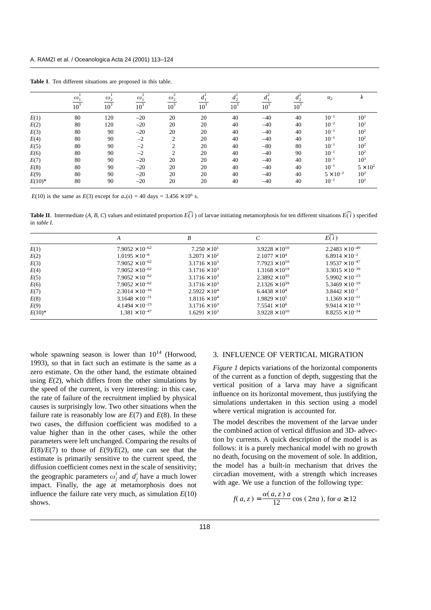|          | $\omega$<br>10 <sup>3</sup> | $\omega_2$<br>$\overline{10^3}$ | $\gamma$<br>$\omega$ .<br>10 <sup>3</sup> | $\gamma$<br>$\omega_2$<br>$\overline{10^3}$ | 10 <sup>3</sup> | 10 <sup>3</sup> | 10 <sup>3</sup> | $\mathfrak{a}_{\gamma}$<br>10 <sup>3</sup> | $u_2$              | ĸ               |
|----------|-----------------------------|---------------------------------|-------------------------------------------|---------------------------------------------|-----------------|-----------------|-----------------|--------------------------------------------|--------------------|-----------------|
|          |                             |                                 |                                           |                                             |                 |                 |                 |                                            |                    |                 |
|          |                             |                                 |                                           |                                             |                 |                 |                 |                                            |                    |                 |
| E(1)     | 80                          | 120                             | $-20$                                     | 20                                          | 20              | 40              | $-40$           | 40                                         | $10^{-1}$          | $10^{2}$        |
| E(2)     | 80                          | 120                             | $-20$                                     | 20                                          | 20              | 40              | $-40$           | 40                                         | $10^{-2}$          | $10^{2}$        |
| E(3)     | 80                          | 90                              | $-20$                                     | 20                                          | 20              | 40              | $-40$           | 40                                         | $10^{-1}$          | $10^{2}$        |
| E(4)     | 80                          | 90                              | $-2$                                      | $\overline{c}$                              | 20              | 40              | $-40$           | 40                                         | $10^{-1}$          | $10^{2}$        |
| E(5)     | 80                          | 90                              | $-2$                                      | $\overline{c}$                              | 20              | 40              | $-80$           | 80                                         | $10^{-1}$          | $10^{2}$        |
| E(6)     | 80                          | 90                              | $-2$                                      | $\overline{2}$                              | 20              | 40              | $-40$           | 90                                         | $10^{-1}$          | $10^2\,$        |
| E(7)     | 80                          | 90                              | $-20$                                     | 20                                          | 20              | 40              | $-40$           | 40                                         | $10^{-1}$          | $10^{3}$        |
| E(8)     | 80                          | 90                              | $-20$                                     | 20                                          | 20              | 40              | $-40$           | 40                                         | $10^{-1}$          | $5 \times 10^2$ |
| E(9)     | 80                          | 90                              | $-20$                                     | 20                                          | 20              | 40              | $-40$           | 40                                         | $5 \times 10^{-2}$ | $10^{2}$        |
| $E(10)*$ | 80                          | 90                              | $-20$                                     | 20                                          | 20              | 40              | $-40$           | 40                                         | $10^{-1}$          | $10^{2}$        |

**Table I**. Ten different situations are proposed in this table.

*E*(10) is the same as *E*(3) except for  $a_*(s) = 40$  days = 3.456  $\times$  10<sup>6</sup> s.

**Table II**. Intermediate (*A, B, C*) values and estimated proportion  $\widehat{E(i)}$  of larvae initiating metamorphosis for ten different situations  $\widehat{E(i)}$  specified in *table I* in *table I*.

|           | А                        | B                      |                         | E(i)                     |
|-----------|--------------------------|------------------------|-------------------------|--------------------------|
| E(1)      | $7.9052 \times 10^{-62}$ | $7.250 \times 10^{1}$  | $3.9228 \times 10^{10}$ | $2.2483 \times 10^{-49}$ |
| E(2)      | $1.0195 \times 10^{-8}$  | $3.2071 \times 10^{2}$ | $2.1077 \times 10^4$    | $6.8914 \times 10^{-2}$  |
| E(3)      | $7.9052 \times 10^{-62}$ | $3.1716 \times 10^3$   | $7.7923 \times 10^{10}$ | $1.9537 \times 10^{-47}$ |
| E(4)      | $7.9052 \times 10^{-62}$ | $3.1716 \times 10^3$   | $1.3168 \times 10^{19}$ | $3.3015 \times 10^{-39}$ |
| E(5)      | $7.9052 \times 10^{-62}$ | $3.1716 \times 10^{3}$ | $2.3892 \times 10^{35}$ | $5.9902 \times 10^{-23}$ |
| E(6)      | $7.9052 \times 10^{-62}$ | $3.1716 \times 10^3$   | $2.1326 \times 10^{39}$ | $5.3469 \times 10^{-19}$ |
| E(7)      | $2.3014 \times 10^{-16}$ | $2.5922 \times 10^{4}$ | $6.4438 \times 10^{4}$  | $3.8442 \times 10^{-7}$  |
| E(8)      | $3.1648 \times 10^{-21}$ | $1.8116 \times 10^{4}$ | $1.9829 \times 10^5$    | $1.1369 \times 10^{-11}$ |
| E(9)      | $4.1494 \times 10^{-23}$ | $3.1716 \times 10^3$   | $7.5541 \times 10^6$    | $9.9414 \times 10^{-13}$ |
| $E(10)^*$ | $1.381 \times 10^{-47}$  | $1.6291 \times 10^3$   | $3.9228 \times 10^{10}$ | $8.8255 \times 10^{-34}$ |

whole spawning season is lower than  $10^{14}$  (Horwood, 1993), so that in fact such an estimate is the same as a zero estimate. On the other hand, the estimate obtained using  $E(2)$ , which differs from the other simulations by the speed of the current, is very interesting: in this case, the rate of failure of the recruitment implied by physical causes is surprisingly low. Two other situations when the failure rate is reasonably low are  $E(7)$  and  $E(8)$ . In these two cases, the diffusion coefficient was modified to a value higher than in the other cases, while the other parameters were left unchanged. Comparing the results of  $E(8)/E(7)$  to those of  $E(9)/E(2)$ , one can see that the estimate is primarily sensitive to the current speed, the diffusion coefficient comes next in the scale of sensitivity; the geographic parameters  $\omega_j^i$  and  $d_j^i$  have a much lower impact. Finally, the age at metamorphosis does not influence the failure rate very much, as simulation  $E(10)$ shows.

#### 3. INFLUENCE OF VERTICAL MIGRATION

*Figure 1* depicts variations of the horizontal components of the current as a function of depth, suggesting that the vertical position of a larva may have a significant influence on its horizontal movement, thus justifying the simulations undertaken in this section using a model where vertical migration is accounted for.

The model describes the movement of the larvae under the combined action of vertical diffusion and 3D- advection by currents. A quick description of the model is as follows: it is a purely mechanical model with no growth no death, focusing on the movement of sole. In addition, the model has a built-in mechanism that drives the circadian movement, with a strength which increases with age. We use a function of the following type:

$$
f(a, z) = \frac{\alpha(a, z) a}{12} \cos(2\pi a), \text{ for } a \ge 12
$$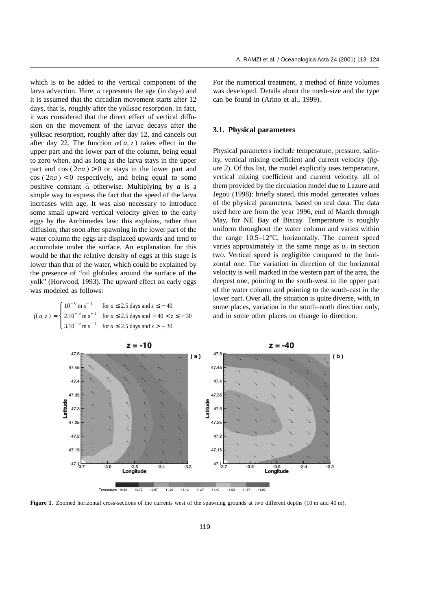which is to be added to the vertical component of the larva advection. Here, *a* represents the age (in days) and it is assumed that the circadian movement starts after 12 days, that is, roughly after the yolksac resorption. In fact, it was considered that the direct effect of vertical diffusion on the movement of the larvae decays after the yolksac resorption, roughly after day 12, and cancels out after day 22. The function  $\alpha$ (a, z) takes effect in the upper part and the lower part of the column, being equal to zero when, and as long as the larva stays in the upper part and  $cos(2\pi a) > 0$  or stays in the lower part and  $cos(2\pi a) < 0$  respectively, and being equal to some positive constant  $\bar{\alpha}$  otherwise. Multiplying by *a* is a simple way to express the fact that the speed of the larva increases with age. It was also necessary to introduce some small upward vertical velocity given to the early eggs by the Archimedes law: this explains, rather than diffusion, that soon after spawning in the lower part of the water column the eggs are displaced upwards and tend to accumulate under the surface. An explanation for this would be that the relative density of eggs at this stage is lower than that of the water, which could be explained by the presence of "oil globules around the surface of the yolk" (Horwood, 1993). The upward effect on early eggs was modeled as follows:

$$
f(a, z) = \begin{cases} 10^{-6} \text{ m s}^{-1} & \text{for } a \le 2.5 \text{ days and } z \le -40 \\ 2.10^{-6} \text{ m s}^{-1} & \text{for } a \le 2.5 \text{ days and } -40 < z \le -30 \\ 3.10^{-6} \text{ m s}^{-1} & \text{for } a \le 2.5 \text{ days and } z > -30 \end{cases}
$$

For the numerical treatment, a method of finite volumes was developed. Details about the mesh-size and the type can be found in (Arino et al., 1999).

#### **3.1. Physical parameters**

Physical parameters include temperature, pressure, salinity, vertical mixing coefficient and current velocity (*figure 2*). Of this list, the model explicitly uses temperature, vertical mixing coefficient and current velocity, all of them provided by the circulation model due to Lazure and Jegou (1998): briefly stated, this model generates values of the physical parameters, based on real data. The data used here are from the year 1996, end of March through May, for NE Bay of Biscay. Temperature is roughly uniform throughout the water column and varies within the range 10.5–12°C, horizontally. The current speed varies approximately in the same range as  $u_2$  in section two. Vertical speed is negligible compared to the horizontal one. The variation in direction of the horizontal velocity is well marked in the western part of the area, the deepest one, pointing to the south-west in the upper part of the water column and pointing to the south-east in the lower part. Over all, the situation is quite diverse, with, in some places, variation in the south–north direction only, and in some other places no change in direction.



**Figure 1.** Zoomed horizontal cross-sections of the currents west of the spawning grounds at two different depths (10 m and 40 m).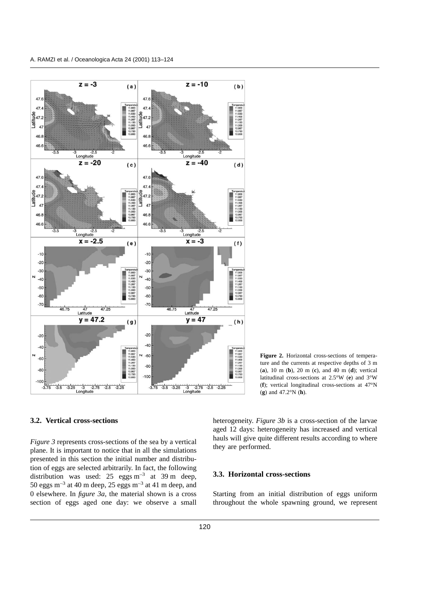

**Figure 2.** Horizontal cross-sections of temperature and the currents at respective depths of 3 m (**a**), 10 m (**b**), 20 m (**c**), and 40 m (**d**); vertical latitudinal cross-sections at 2.5°W (**e**) and 3°W (**f**); vertical longitudinal cross-sections at 47°N (**g**) and 47.2°N (**h**).

#### **3.2. Vertical cross-sections**

*Figure 3* represents cross-sections of the sea by a vertical plane. It is important to notice that in all the simulations presented in this section the initial number and distribution of eggs are selected arbitrarily. In fact, the following distribution was used:  $25$  eggs m<sup>-3</sup> at 39 m deep, 50 eggs  $m^{-3}$  at 40 m deep, 25 eggs  $m^{-3}$  at 41 m deep, and 0 elsewhere. In *figure 3a*, the material shown is a cross section of eggs aged one day: we observe a small

heterogeneity. *Figure 3b* is a cross-section of the larvae aged 12 days: heterogeneity has increased and vertical hauls will give quite different results according to where they are performed.

### **3.3. Horizontal cross-sections**

Starting from an initial distribution of eggs uniform throughout the whole spawning ground, we represent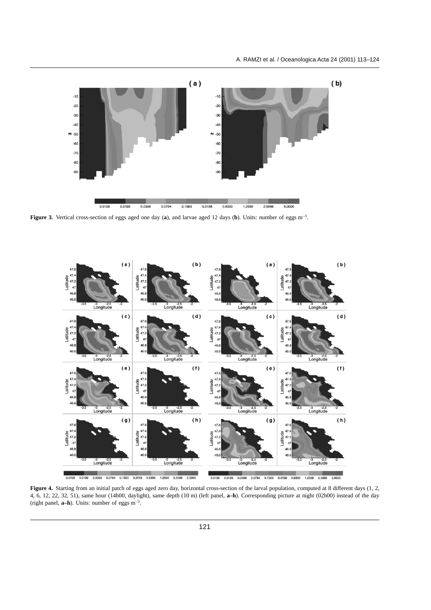

Figure 3. Vertical cross-section of eggs aged one day (a), and larvae aged 12 days (b). Units: number of eggs m<sup>-3</sup>.



**Figure 4.** Starting from an initial patch of eggs aged zero day, horizontal cross-section of the larval population, computed at 8 different days (1, 2, 4, 6, 12, 22, 32, 51), same hour (14h00, daylight), same depth (10 m) (left panel, **a–h**). Corresponding picture at night (02h00) instead of the day (right panel, **a–h**). Units: number of eggs m–3 .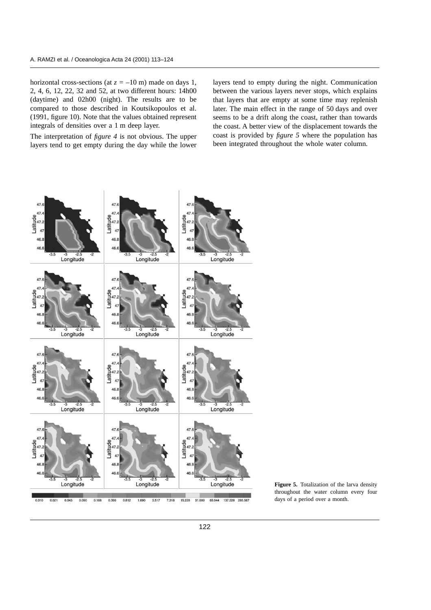horizontal cross-sections (at  $z = -10$  m) made on days 1, 2, 4, 6, 12, 22, 32 and 52, at two different hours: 14h00 (daytime) and 02h00 (night). The results are to be compared to those described in Koutsikopoulos et al. (1991, figure 10). Note that the values obtained represent integrals of densities over a 1 m deep layer.

The interpretation of *figure 4* is not obvious. The upper layers tend to get empty during the day while the lower layers tend to empty during the night. Communication between the various layers never stops, which explains that layers that are empty at some time may replenish later. The main effect in the range of 50 days and over seems to be a drift along the coast, rather than towards the coast. A better view of the displacement towards the coast is provided by *figure 5* where the population has been integrated throughout the whole water column.



**Figure 5.** Totalization of the larva density throughout the water column every four days of a period over a month.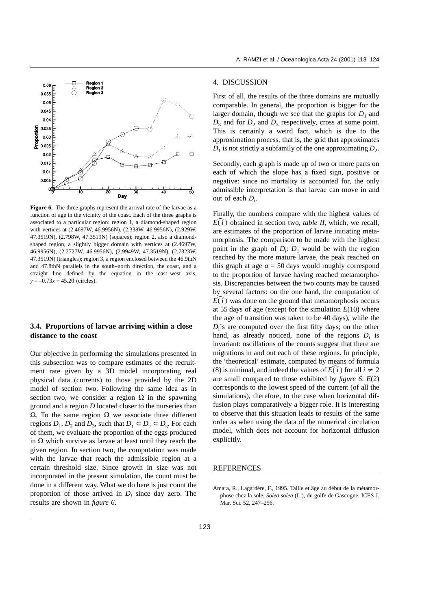

**Figure 6.** The three graphs represent the arrival rate of the larvae as a function of age in the vicinity of the coast. Each of the three graphs is associated to a particular region: region 1, a diamond-shaped region with vertices at (2.4697W, 46.9956N), (2.338W, 46.9956N), (2.929W, 47.3519N), (2.798W, 47.3519N) (squares); region 2, also a diamondshaped region, a slightly bigger domain with vertices at (2.4697W, 46.9956N), (2.2727W, 46.9956N), (2.9949W, 47.3519N), (2.7323W, 47.3519N) (triangles); region 3, a region enclosed between the 46.9thN and 47.8thN parallels in the south–north direction, the coast, and a straight line defined by the equation in the east–west axis, *y* = –0.73*x* + 45.20 (circles).

## **3.4. Proportions of larvae arriving within a close distance to the coast**

Our objective in performing the simulations presented in this subsection was to compare estimates of the recruitment rate given by a 3D model incorporating real physical data (currents) to those provided by the 2D model of section two. Following the same idea as in section two, we consider a region  $\Omega$  in the spawning ground and a region *D* located closer to the nurseries than  $\Omega$ . To the same region  $\Omega$  we associate three different regions  $D_1$ ,  $D_2$  and  $D_3$ , such that  $D_1 \subset D_2 \subset D_3$ . For each of them, we evaluate the proportion of the eggs produced in  $\Omega$  which survive as larvae at least until they reach the given region. In section two, the computation was made with the larvae that reach the admissible region at a certain threshold size. Since growth in size was not incorporated in the present simulation, the count must be done in a different way. What we do here is just count the proportion of those arrived in  $D_i$  since day zero. The results are shown in *figure 6*.

#### 4. DISCUSSION

First of all, the results of the three domains are mutually comparable. In general, the proportion is bigger for the larger domain, though we see that the graphs for  $D_1$  and  $D_3$  and for  $D_2$  and  $D_3$  respectively, cross at some point. This is certainly a weird fact, which is due to the approximation process, that is, the grid that approximates  $D_1$  is not strictly a subfamily of the one approximating  $D_2$ .

Secondly, each graph is made up of two or more parts on each of which the slope has a fixed sign, positive or negative: since no mortality is accounted for, the only admissible interpretation is that larvae can move in and out of each *Di* .

Finally, the numbers compare with the highest values of  $\widetilde{E(i)}$ <br>are e ) obtained in section two, *table II*, which, we recall, are estimates of the proportion of larvae initiating metamorphosis. The comparison to be made with the highest point in the graph of  $D_i$ :  $D_1$  would be with the region reached by the more mature larvae, the peak reached on this graph at age  $a = 50$  days would roughly correspond to the proportion of larvae having reached metamorphosis. Discrepancies between the two counts may be caused by several factors: on the one hand, the computation of sis. L<br>by se<br>*E*(*i*)<br>at 55  $E(\hat{i})$  was done on the ground that metamorphosis occurs at 55 days of age (except for the simulation *E*(10) where the age of transition was taken to be 40 days), while the *D*i 's are computed over the first fifty days; on the other hand, as already noticed, none of the regions  $D_i$  is invariant: oscillations of the counts suggest that there are migrations in and out each of these regions. In principle, the 'theoretical' estimate, computed by means of formula migrations in and out each of these regions.<br>the 'theoretical' estimate, computed by mean<br>(8) is minimal, and indeed the values of  $E(\vec{i})$ <br>are small compared to those exhibited by fifor all  $i \neq 2$ are small compared to those exhibited by *figure 6*. *E*(2) corresponds to the lowest speed of the current (of all the simulations), therefore, to the case when horizontal diffusion plays comparatively a bigger role. It is interesting to observe that this situation leads to results of the same order as when using the data of the numerical circulation model, which does not account for horizontal diffusion explicitly.

#### REFERENCES

Amara, R., Lagardère, F., 1995. Taille et âge au début de la métamorphose chez la sole, *Solea solea* (L.), du golfe de Gascogne. ICES J. Mar. Sci. 52, 247–256.